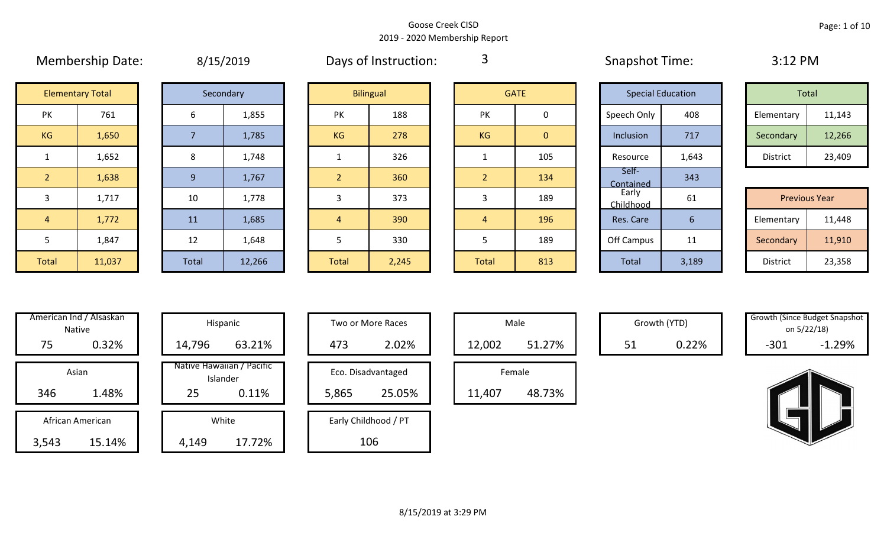|                | <b>IVICITIVEISIIID DATE.</b> |       | 0/13/2013 |                | Days OF HISLIQUEDIT. | ັ              |                | <b>SUIGLATION</b> ITTITE. |       | <b>J.IL FIVI</b>     |        |
|----------------|------------------------------|-------|-----------|----------------|----------------------|----------------|----------------|---------------------------|-------|----------------------|--------|
|                | <b>Elementary Total</b>      |       | Secondary |                | <b>Bilingual</b>     |                | <b>GATE</b>    | <b>Special Education</b>  |       | Total                |        |
| PK             | 761                          | 6     | 1,855     | <b>PK</b>      | 188                  | <b>PK</b>      | 0              | Speech Only               | 408   | Elementary           | 11,143 |
| KG             | 1,650                        |       | 1,785     | KG             | 278                  | KG             | $\overline{0}$ | Inclusion                 | 717   | Secondary            | 12,266 |
| $\mathbf{1}$   | 1,652                        | 8     | 1,748     |                | 326                  |                | 105            | Resource                  | 1,643 | District             | 23,409 |
| 2 <sup>2</sup> | 1,638                        | 9     | 1,767     | $\overline{2}$ | 360                  | 2 <sup>1</sup> | 134            | Self-<br>Contained        | 343   |                      |        |
| 3              | 1,717                        | 10    | 1,778     | 3              | 373                  | 3              | 189            | Early<br>Childhood        | 61    | <b>Previous Year</b> |        |
| $\overline{4}$ | 1,772                        | 11    | 1,685     | $\overline{4}$ | 390                  | $\overline{4}$ | 196            | Res. Care                 | 6     | Elementary           | 11,448 |
| 5              | 1,847                        | 12    | 1,648     | 5              | 330                  |                | 189            | Off Campus                | 11    | Secondary            | 11,910 |
| Total          | 11,037                       | Total | 12,266    | <b>Total</b>   | 2,245                | Total          | 813            | Total                     | 3,189 | District             | 23,358 |

|  | 8/15/2019 |  |
|--|-----------|--|
|  |           |  |

Membership Date:  $\mu$  8/15/2019 Membership Days of Instruction: 3 Snapshot Time: 3:12 PM

3

|                    | <b>Elementary Total</b> |  | Secondary |           | <b>Bilingual</b> |           | <b>GATE</b> |             | <b>Special Education</b> | Total      |        |
|--------------------|-------------------------|--|-----------|-----------|------------------|-----------|-------------|-------------|--------------------------|------------|--------|
| שנ<br>$\mathbf{v}$ | 761                     |  | 1,855     | PK        | 188              | PK        |             | Speech Only | 408                      | Elementary | 11,143 |
| G                  | 1,650                   |  | 1,785     | <b>KG</b> | 278              | <b>KG</b> | 0           | Inclusion   | 717                      | Secondary  | 12,266 |
|                    | 1,652                   |  | 1,748     |           | 326              |           | 105         | Resource    | 1,643                    | District   | 23,409 |

|             |        |       |        |              |       |              |     | -----------        |                             |                      |        |
|-------------|--------|-------|--------|--------------|-------|--------------|-----|--------------------|-----------------------------|----------------------|--------|
|             | 1,717  | 10    | 1,778  |              | 373   |              | 189 | Early<br>Childhood | 61                          | <b>Previous Year</b> |        |
|             | 1,772  | 11    | 1,685  |              | 390   |              | 196 | Res. Care          |                             | Elementary           | 11,448 |
|             | 1,847  | 12    | 1,648  |              | 330   |              | 189 | Off Campus         | $\overline{A}$<br><b>TT</b> | Secondary            | 11,910 |
| <b>otal</b> | 11,037 | Total | 12,266 | <b>Total</b> | 2,245 | <b>Total</b> | 813 | <b>Total</b>       | 3,189                       | District             | 23,358 |

|       | American Ind / Alsaskan<br><b>Native</b> |        | Hispanic                              |
|-------|------------------------------------------|--------|---------------------------------------|
| 75    | 0.32%                                    | 14,796 | 63.21%                                |
|       | Asian                                    |        | Native Hawaiian / Pacific<br>Islander |
| 346   | 1.48%                                    | 25     | 0.11%                                 |
|       | African American                         |        | White                                 |
| 3,543 | 15.14%                                   | 4,149  | 17.72%                                |

|      | merican Ind / Alsaskan<br>Native |        | Hispanic                              |       | Two or More Races    |        | Male   |    | Growth (YTD) | Growth (Since Budget Snapsh | on 5/22/18) |
|------|----------------------------------|--------|---------------------------------------|-------|----------------------|--------|--------|----|--------------|-----------------------------|-------------|
| 75   | 0.32%                            | 14,796 | 63.21%                                | 473   | 2.02%                | 12,002 | 51.27% | 51 | 0.22%        | $-301$                      | $-1.29%$    |
|      | Asian                            |        | Native Hawaiian / Pacific<br>Islander |       | Eco. Disadvantaged   |        | Female |    |              |                             |             |
| 346  | 1.48%                            | 25     | 0.11%                                 | 5,865 | 25.05%               | 11,407 | 48.73% |    |              |                             |             |
|      | African American                 |        | White                                 |       | Early Childhood / PT |        |        |    |              |                             |             |
| ,543 | 15.14%                           | 4,149  | 17.72%                                |       | 106                  |        |        |    |              |                             |             |

| Hispanic                       |       | Two or More Races    |        | Male   |
|--------------------------------|-------|----------------------|--------|--------|
| 63.21%                         | 473   | 2.02%                | 12,002 |        |
| lawaiian / Pacific<br>Islander |       | Eco. Disadvantaged   |        | Female |
| 0.11%                          | 5,865 | 25.05%               | 11,407 |        |
| White                          |       | Early Childhood / PT |        |        |
| 17.72%                         |       | 106                  |        |        |

|        | Male   |  |  |  |  |  |  |  |  |
|--------|--------|--|--|--|--|--|--|--|--|
| 12,002 | 51.27% |  |  |  |  |  |  |  |  |
| Female |        |  |  |  |  |  |  |  |  |
|        |        |  |  |  |  |  |  |  |  |

Growth (YTD) Growth (Since Budget Snapshot on 5/22/18)

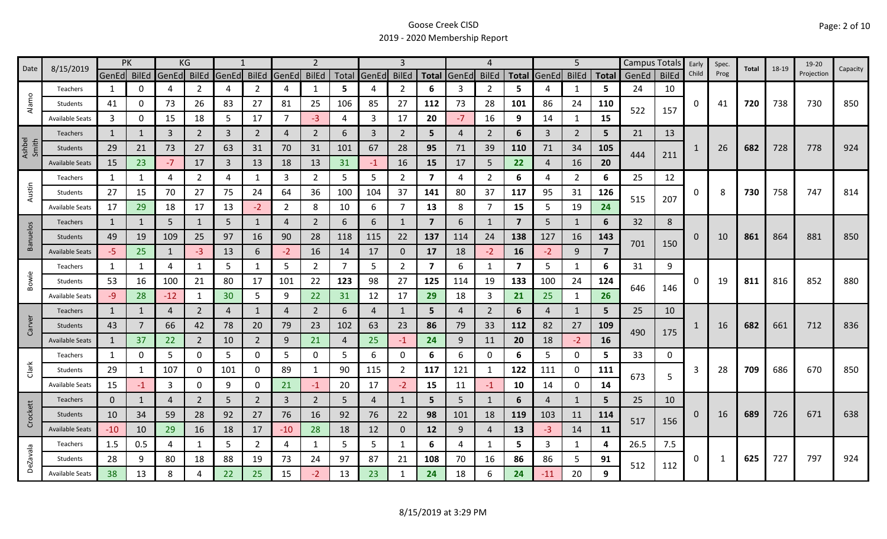| 8/15/2019<br>Date | <b>PK</b>              |              |              | KG           |                |                |                | $\overline{2}$ |                |     |             |                |                | 4              |                |                         | 5              |                |              | Campus Totals | Early        | Spec.    | Total | 18-19 | 19-20 | Capacity   |     |
|-------------------|------------------------|--------------|--------------|--------------|----------------|----------------|----------------|----------------|----------------|-----|-------------|----------------|----------------|----------------|----------------|-------------------------|----------------|----------------|--------------|---------------|--------------|----------|-------|-------|-------|------------|-----|
|                   |                        | GenEd BilEd  |              | GenEd        | <b>BilEd</b>   | GenEd          | <b>BilEd</b>   | GenEd          | <b>BilEd</b>   |     | Total GenEd | <b>BilEd</b>   | <b>Total</b>   | GenEd          | <b>BilEd</b>   | <b>Total</b>            | GenEd          | <b>BilEd</b>   | <b>Total</b> | GenEd         | <b>BilEd</b> | Child    | Prog  |       |       | Projection |     |
|                   | Teachers               | 1            | 0            | 4            | 2              | 4              | $\overline{2}$ | 4              | $\mathbf{1}$   | 5   | 4           | $\overline{2}$ | 6              | 3              | $\overline{2}$ | 5                       |                | 1              | 5.           | 24            | 10           |          |       |       |       |            |     |
| Alamo             | Students               | 41           | 0            | 73           | 26             | 83             | 27             | 81             | 25             | 106 | 85          | 27             | 112            | 73             | 28             | 101                     | 86             | 24             | 110          |               |              | 0        | 41    | 720   | 738   | 730        | 850 |
|                   | <b>Available Seats</b> | 3            | 0            | 15           | 18             | 5              | 17             | 7              | $-3$           | 4   | 3           | 17             | 20             | $-7$           | 16             | 9                       | 14             | 1              | 15           | 522           | 157          |          |       |       |       |            |     |
|                   | Teachers               | 1            |              | 3            | $\overline{2}$ | $\overline{3}$ | $\overline{2}$ | 4              | $\overline{2}$ | 6   | 3           | $\overline{2}$ | 5              | $\overline{4}$ | 2              | 6                       | 3              | $\overline{2}$ | 5            | 21            | 13           |          |       |       |       |            |     |
| Ashbel<br>Smith   | <b>Students</b>        | 29           | 21           | 73           | 27             | 63             | 31             | 70             | 31             | 101 | 67          | 28             | 95             | 71             | 39             | 110                     | 71             | 34             | 105          |               |              |          | 26    | 682   | 728   | 778        | 924 |
|                   | <b>Available Seats</b> | 15           | 23           | $-7$         | 17             | 3              | 13             | 18             | 13             | 31  | $-1$        | 16             | 15             | 17             | 5              | 22                      | $\overline{4}$ | 16             | 20           | 444           | 211          |          |       |       |       |            |     |
|                   | Teachers               | 1            | 1            | 4            | $\overline{2}$ | 4              | $\mathbf{1}$   | 3              | $\overline{2}$ | 5   | 5           | $\overline{2}$ | 7              | 4              | $\overline{2}$ | 6                       | 4              | $\overline{2}$ | 6            | 25            | 12           |          |       |       |       |            |     |
| Austin            | Students               | 27           | 15           | 70           | 27             | 75             | 24             | 64             | 36             | 100 | 104         | 37             | 141            | 80             | 37             | 117                     | 95             | 31             | 126          |               |              | 0        | 8     | 730   | 758   | 747        | 814 |
|                   | <b>Available Seats</b> | 17           | 29           | 18           | 17             | 13             | $-2$           | $\overline{2}$ | 8              | 10  | 6           | $\overline{7}$ | 13             | 8              | 7              | 15                      | 5              | 19             | 24           | 515           | 207          |          |       |       |       |            |     |
|                   | Teachers               | $\mathbf{1}$ | 1            | 5            | $\mathbf{1}$   | 5              | $\mathbf{1}$   | 4              | $\overline{2}$ | 6   | 6           |                | $\overline{7}$ | 6              | 1              | $\overline{7}$          | 5              | 1              | 6            | 32            | 8            |          |       |       |       |            |     |
| <b>Banuelos</b>   | Students               | 49           | 19           | 109          | 25             | 97             | 16             | 90             | 28             | 118 | 115         | 22             | 137            | 114            | 24             | 138                     | 127            | 16             | 143          |               |              | $\Omega$ | 10    | 861   | 864   | 881        | 850 |
|                   | <b>Available Seats</b> | $-5$         | 25           | $\mathbf{1}$ | $-3$           | 13             | 6              | $-2$           | 16             | 14  | 17          | 0              | 17             | 18             | $-2$           | 16                      | $-2$           | 9              | 7            | 701           | 150          |          |       |       |       |            |     |
|                   | Teachers               | 1            | $\mathbf{1}$ | 4            | 1              | 5              | 1              | 5              | $\overline{2}$ | 7   | 5           | $\overline{2}$ | 7              | 6              | -1             | $\overline{\mathbf{z}}$ | 5              | 1              | 6            | 31            | 9            |          |       |       |       |            |     |
| Bowie             | Students               | 53           | 16           | 100          | 21             | 80             | 17             | 101            | 22             | 123 | 98          | 27             | 125            | 114            | 19             | 133                     | 100            | 24             | 124          |               |              | O        | 19    | 811   | 816   | 852        | 880 |
|                   | <b>Available Seats</b> | -9           | 28           | $-12$        | 1              | 30             | 5              | 9              | 22             | 31  | 12          | 17             | 29             | 18             | 3              | 21                      | 25             | 1              | 26           | 646           | 146          |          |       |       |       |            |     |
|                   | Teachers               | $\mathbf{1}$ | $\mathbf{1}$ | 4            | $\overline{2}$ | $\overline{4}$ | $\mathbf{1}$   | 4              | $\overline{2}$ | 6   | 4           |                | 5              | 4              | 2              | 6                       | $\overline{4}$ | $\mathbf{1}$   | 5            | 25            | 10           |          |       |       |       |            |     |
| Carver            | Students               | 43           |              | 66           | 42             | 78             | 20             | 79             | 23             | 102 | 63          | 23             | 86             | 79             | 33             | 112                     | 82             | 27             | 109          |               |              |          | 16    | 682   | 661   | 712        | 836 |
|                   | <b>Available Seats</b> | $\mathbf{1}$ | 37           | 22           | $\overline{2}$ | 10             | $\overline{2}$ | 9              | 21             | 4   | 25          | $-1$           | 24             | 9              | 11             | 20                      | 18             | $-2$           | 16           | 490           | 175          |          |       |       |       |            |     |
|                   | Teachers               | $\mathbf{1}$ | 0            | 5            | 0              | 5              | 0              | 5              | 0              | 5   | 6           | 0              | 6              | 6              | 0              | 6                       | 5              | $\mathbf 0$    | 5            | 33            | 0            |          |       |       |       |            |     |
| Clark             | Students               | 29           | 1            | 107          | 0              | 101            | 0              | 89             | 1              | 90  | 115         | $\overline{2}$ | 117            | 121            | -1             | 122                     | 111            | $\mathbf 0$    | 111          |               |              | 3        | 28    | 709   | 686   | 670        | 850 |
|                   | <b>Available Seats</b> | 15           | -1           | 3            | 0              | 9              | 0              | 21             | $-1$           | 20  | 17          | $-2$           | 15             | 11             | $-1$           | 10                      | 14             | 0              | 14           | 673           | 5            |          |       |       |       |            |     |
|                   | Teachers               | $\mathbf{0}$ | 1            | 4            | $\overline{2}$ | 5              | $\overline{2}$ | 3              | $\overline{2}$ | 5   | 4           |                | 5              | 5              | $\mathbf{1}$   | 6                       | 4              | 1              | 5.           | 25            | 10           |          |       |       |       |            |     |
| Crockett          | Students               | 10           | 34           | 59           | 28             | 92             | 27             | 76             | 16             | 92  | 76          | 22             | 98             | 101            | 18             | 119                     | 103            | 11             | 114          |               |              | 0        | 16    | 689   | 726   | 671        | 638 |
|                   | <b>Available Seats</b> | $-10$        | 10           | 29           | 16             | 18             | 17             | $-10$          | 28             | 18  | 12          | $\mathbf{0}$   | 12             | 9              | 4              | 13                      | $-3$           | 14             | <b>11</b>    | 517           | 156          |          |       |       |       |            |     |
|                   | Teachers               | 1.5          | 0.5          | 4            | 1              | 5              | $\overline{2}$ | 4              | 1              | 5   | 5           | 1              | 6              | 4              | -1             | 5.                      | 3              | 1              | 4            | 26.5          | 7.5          |          |       |       |       |            |     |
| <b>DeZavala</b>   | Students               | 28           | 9            | 80           | 18             | 88             | 19             | 73             | 24             | 97  | 87          | 21             | 108            | 70             | 16             | 86                      | 86             | 5              | 91           |               |              | 0        | 1     | 625   | 727   | 797        | 924 |
|                   | <b>Available Seats</b> | 38           | 13           | 8            |                | 22             | 25             | 15             | $-2$           | 13  | 23          |                | 24             | 18             | 6              | 24                      | $-11$          | 20             | 9            | 512           | 112          |          |       |       |       |            |     |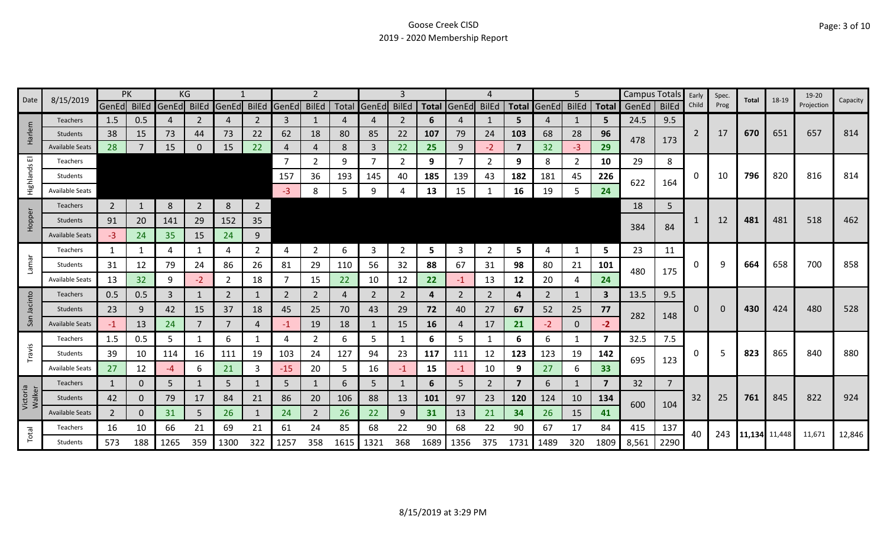| Date<br>8/15/2019  |                        | PK             |     |                         | ΚG             |                |                |             |                |      |                | 3            |      |             | 4              |                         |                   | 5            |              | <b>Campus Totals</b> |                | Early          | Spec. | Total         | 18-19 | 19-20      | Capacity |
|--------------------|------------------------|----------------|-----|-------------------------|----------------|----------------|----------------|-------------|----------------|------|----------------|--------------|------|-------------|----------------|-------------------------|-------------------|--------------|--------------|----------------------|----------------|----------------|-------|---------------|-------|------------|----------|
|                    |                        |                |     | GenEd BilEd GenEd BilEd |                | <b>GenEd</b>   |                | BilEd GenEd | <b>BilEd</b>   |      | Total GenEd    | <b>BilEd</b> |      | Total GenEd | <b>BilEd</b>   |                         | Total GenEd BilEd |              | <b>Total</b> | GenEd                | <b>BilEd</b>   | Child          | Prog  |               |       | Projection |          |
|                    | <b>Teachers</b>        | 1.5            | 0.5 | 4                       | 2              | $\overline{4}$ | 2              | 3           | 1              | 4    | 4              | 2            | 6    |             | 1              | 5.                      | 4                 | 1            | 5            | 24.5                 | 9.5            |                |       |               |       |            |          |
| larlem             | <b>Students</b>        | 38             | 15  | 73                      | 44             | 73             | 22             | 62          | 18             | 80   | 85             | 22           | 107  | 79          | 24             | 103                     | 68                | 28           | 96           | 478                  | 173            | $\overline{2}$ | 17    | 670           | 651   | 657        | 814      |
| 工                  | <b>Available Seats</b> | 28             |     | 15                      | 0              | 15             | 22             | 4           | $\overline{4}$ | 8    | $\mathbf{3}$   | 22           | 25   | 9           | $-2$           | $\overline{7}$          | 32                | $-3$         | 29           |                      |                |                |       |               |       |            |          |
| ш                  | Teachers               |                |     |                         |                |                |                | 7           | 2              | 9    | $\overline{7}$ | 2            | 9    |             | 2              | 9                       | 8                 | 2            | 10           | 29                   | 8              |                |       |               |       |            |          |
| Highlands          | Students               |                |     |                         |                |                |                | 157         | 36             | 193  | 145            | 40           | 185  | 139         | 43             | 182                     | 181               | 45           | 226          | 622                  | 164            | 0              | 10    | 796           | 820   | 816        | 814      |
|                    | <b>Available Seats</b> |                |     |                         |                |                |                | $-3$        | 8              | 5    | 9              |              | 13   | 15          |                | 16                      | 19                | 5            | 24           |                      |                |                |       |               |       |            |          |
|                    | <b>Teachers</b>        | $\overline{2}$ |     | 8                       | $\overline{2}$ | 8              | $\overline{2}$ |             |                |      |                |              |      |             |                |                         |                   |              |              | 18                   | 5              |                |       |               |       |            |          |
| Hopper             | Students               | 91             | 20  | 141                     | 29             | 152            | 35             |             |                |      |                |              |      |             |                |                         |                   |              |              |                      |                |                | 12    | 481           | 481   | 518        | 462      |
|                    | <b>Available Seats</b> | $-3$           | 24  | 35                      | 15             | 24             | 9              |             |                |      |                |              |      |             |                |                         |                   |              |              | 384                  | 84             |                |       |               |       |            |          |
|                    | Teachers               | 1              |     | 4                       | 1              | 4              | $\overline{2}$ | 4           | $\overline{2}$ | 6    | 3              | 2            | 5    | 3           | 2              | 5                       | 4                 | 1            | 5            | 23                   | 11             |                |       |               |       |            |          |
| Lamar              | Students               | 31             | 12  | 79                      | 24             | 86             | 26             | 81          | 29             | 110  | 56             | 32           | 88   | 67          | 31             | 98                      | 80                | 21           | 101          |                      |                | 0              | q     | 664           | 658   | 700        | 858      |
|                    | Available Seats        | 13             | 32  | 9                       | $-2$           | 2              | 18             |             | 15             | 22   | 10             | 12           | 22   | $-1$        | 13             | 12                      | 20                | 4            | 24           | 480                  | 175            |                |       |               |       |            |          |
|                    | Teachers               | 0.5            | 0.5 | 3                       | 1              | 2              | 1              | 2           | $\overline{2}$ | 4    | 2              | 2            | 4    | 2           | 2              | 4                       | 2                 | 1            | $\mathbf{3}$ | 13.5                 | 9.5            |                |       |               |       |            |          |
| cinto              | Students               | 23             | 9   | 42                      | 15             | 37             | 18             | 45          | 25             | 70   | 43             | 29           | 72   | 40          | 27             | 67                      | 52                | 25           | 77           |                      |                | 0              |       | 430           | 424   | 480        | 528      |
| San                | <b>Available Seats</b> | $-1$           | 13  | 24                      | 7              | 7              | 4              | -1          | 19             | 18   | 1              | 15           | 16   | 4           | 17             | 21                      | $-2$              | $\mathbf{0}$ | $-2$         | 282                  | 148            |                |       |               |       |            |          |
|                    | Teachers               | 1.5            | 0.5 | 5                       | 1              | 6              | 1              | 4           | $\overline{2}$ | 6    | 5              | 1            | 6    | 5.          | 1              | 6                       | 6                 | $\mathbf{1}$ | 7            | 32.5                 | 7.5            |                |       |               |       |            |          |
| Travis             | Students               | 39             | 10  | 114                     | 16             | 111            | 19             | 103         | 24             | 127  | 94             | 23           | 117  | 111         | 12             | 123                     | 123               | 19           | 142          |                      |                | 0              |       | 823           | 865   | 840        | 880      |
|                    | Available Seats        | 27             | 12  | -4                      | 6              | 21             | 3              | $-15$       | 20             | 5    | 16             | -1           | 15   | $-1$        | 10             | 9                       | 27                | 6            | 33           | 695                  | 123            |                |       |               |       |            |          |
|                    | Teachers               | $\mathbf{1}$   | 0   | 5                       | 1              | 5              | $\mathbf{1}$   | 5           | $\mathbf{1}$   | 6    | 5              |              | 6    | 5.          | $\overline{2}$ | $\overline{\mathbf{z}}$ | 6                 | $\mathbf{1}$ | 7            | 32                   | $\overline{7}$ |                |       |               |       |            |          |
| Victoria<br>Walker | <b>Students</b>        | 42             | 0   | 79                      | 17             | 84             | 21             | 86          | 20             | 106  | 88             | 13           | 101  | 97          | 23             | 120                     | 124               | 10           | 134          |                      |                | 32             | 25    | 761           | 845   | 822        | 924      |
|                    | <b>Available Seats</b> | $\overline{2}$ | 0   | 31                      | 5              | 26             | $\mathbf{1}$   | 24          | $\overline{2}$ | 26   | 22             | 9            | 31   | 13          | 21             | 34                      | 26                | 15           | 41           | 600                  | 104            |                |       |               |       |            |          |
|                    | Teachers               | 16             | 10  | 66                      | 21             | 69             | 21             | 61          | 24             | 85   | 68             | 22           | 90   | 68          | 22             | 90                      | 67                | 17           | 84           | 415                  | 137            |                |       |               |       |            |          |
| Total              | Students               | 573            | 188 | 1265                    | 359            | 1300           | 322            | 1257        | 358            | 1615 | 1321           | 368          | 1689 | 1356        | 375            | 1731                    | 1489              | 320          | 1809         | 8,561                | 2290           | 40             | 243   | 11,134 11,448 |       | 11,671     | 12,846   |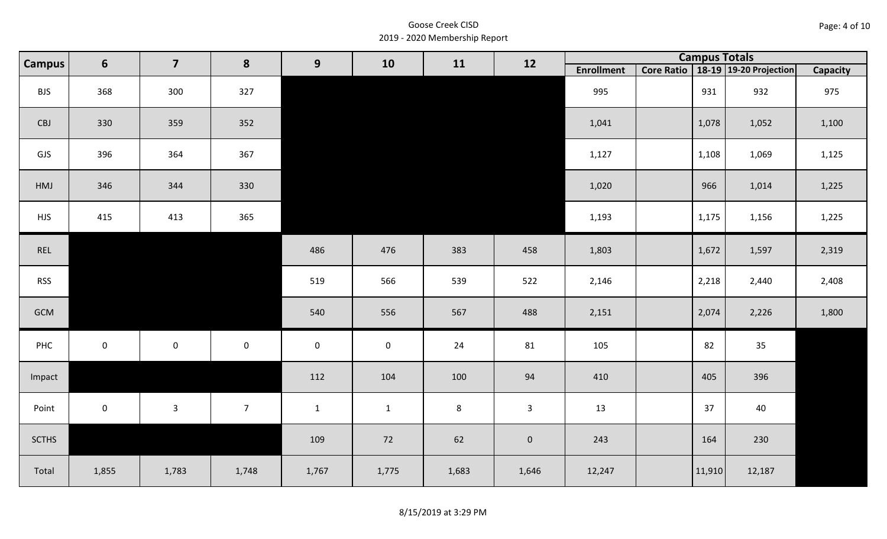| Page: 4 of 10 |  |
|---------------|--|
|---------------|--|

| <b>Campus</b> | 6            | $\overline{\mathbf{z}}$<br>8<br>9<br>10 |                | 11                  | 12           |                | <b>Campus Totals</b> |                   |        |                                       |          |
|---------------|--------------|-----------------------------------------|----------------|---------------------|--------------|----------------|----------------------|-------------------|--------|---------------------------------------|----------|
|               |              |                                         |                |                     |              |                |                      | <b>Enrollment</b> |        | Core Ratio   18-19   19-20 Projection | Capacity |
| <b>BJS</b>    | 368          | 300                                     | 327            |                     |              |                |                      | 995               | 931    | 932                                   | 975      |
| CBJ           | 330          | 359                                     | 352            |                     |              |                |                      | 1,041             | 1,078  | 1,052                                 | 1,100    |
| GJS           | 396          | 364                                     | 367            |                     |              |                |                      | 1,127             | 1,108  | 1,069                                 | 1,125    |
| HMJ           | 346          | 344                                     | 330            |                     |              |                |                      | 1,020             | 966    | 1,014                                 | 1,225    |
| <b>HJS</b>    | 415          | 413                                     | 365            |                     |              |                |                      | 1,193             | 1,175  | 1,156                                 | 1,225    |
| REL           |              |                                         |                | 486                 | 476          | 383            | 458                  | 1,803             | 1,672  | 1,597                                 | 2,319    |
| <b>RSS</b>    |              |                                         |                | 519                 | 566          | 539            | 522                  | 2,146             | 2,218  | 2,440                                 | 2,408    |
| GCM           |              |                                         |                | 540                 | 556          | 567            | 488                  | 2,151             | 2,074  | 2,226                                 | 1,800    |
| PHC           | $\mathbf 0$  | $\mathsf 0$                             | $\mathbf 0$    | $\mathsf{O}\xspace$ | $\mathbf 0$  | 24             | 81                   | 105               | 82     | 35                                    |          |
| Impact        |              |                                         |                | 112                 | 104          | 100            | 94                   | 410               | 405    | 396                                   |          |
| Point         | $\mathbf{0}$ | $\mathbf{3}$                            | $\overline{7}$ | $\mathbf{1}$        | $\mathbf{1}$ | $8\phantom{1}$ | $\mathbf{3}$         | 13                | 37     | 40                                    |          |
| <b>SCTHS</b>  |              |                                         |                | 109                 | 72           | 62             | $\pmb{0}$            | 243               | 164    | 230                                   |          |
| Total         | 1,855        | 1,783                                   | 1,748          | 1,767               | 1,775        | 1,683          | 1,646                | 12,247            | 11,910 | 12,187                                |          |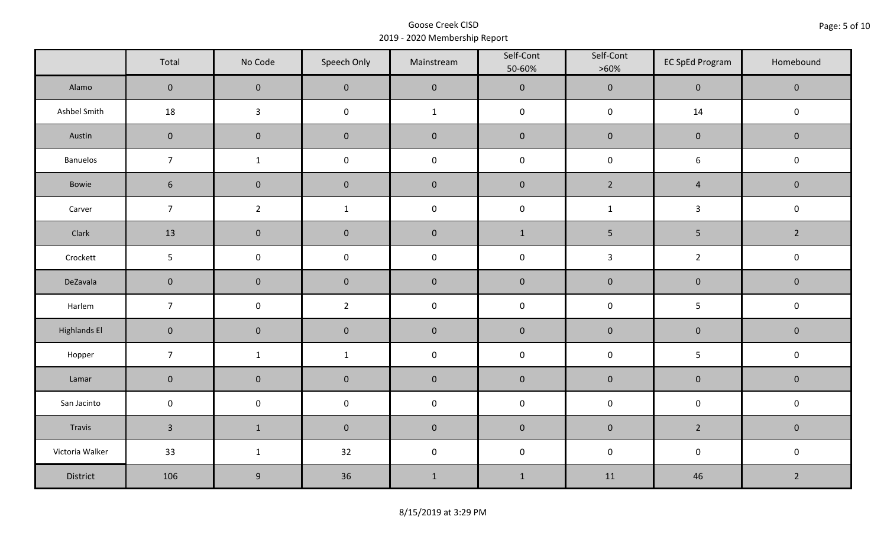|                     | Total          | No Code          | Speech Only    | Mainstream   | Self-Cont<br>50-60% | Self-Cont<br>$>60\%$ | <b>EC SpEd Program</b> | Homebound      |  |
|---------------------|----------------|------------------|----------------|--------------|---------------------|----------------------|------------------------|----------------|--|
| Alamo               | $\overline{0}$ | $\mathbf{0}$     | $\mathbf{0}$   | $\pmb{0}$    | $\pmb{0}$           | $\pmb{0}$            | $\mathbf 0$            | $\mathbf 0$    |  |
| Ashbel Smith        | 18             | $\mathbf{3}$     | $\mathsf 0$    | $\mathbf{1}$ | $\pmb{0}$           | $\pmb{0}$            | 14                     | $\mathbf 0$    |  |
| Austin              | $\mathbf 0$    | $\mathbf 0$      | $\mathbf 0$    | $\pmb{0}$    | $\pmb{0}$           | $\pmb{0}$            | $\pmb{0}$              | $\mathbf 0$    |  |
| Banuelos            | $\overline{7}$ | $\mathbf{1}$     | $\pmb{0}$      | $\pmb{0}$    | $\pmb{0}$           | $\pmb{0}$            | $\boldsymbol{6}$       | $\pmb{0}$      |  |
| Bowie               | $6\phantom{1}$ | $\mathbf 0$      | $\mathbf{0}$   | $\mathbf 0$  | $\mathbf 0$         | $2^{\circ}$          | $\overline{4}$         | $\mathbf 0$    |  |
| Carver              | $\overline{7}$ | $\overline{2}$   | $\mathbf 1$    | $\pmb{0}$    | $\pmb{0}$           | $\mathbf{1}$         | $\mathbf{3}$           | $\pmb{0}$      |  |
| Clark               | 13             | $\mathbf 0$      | $\mathbf 0$    | $\pmb{0}$    | $1\,$               | $5\phantom{.0}$      | $\overline{5}$         | $\overline{2}$ |  |
| Crockett            | 5              | $\mathsf 0$      | $\pmb{0}$      | $\pmb{0}$    | $\pmb{0}$           | $\mathbf{3}$         | $\overline{2}$         | $\pmb{0}$      |  |
| DeZavala            | $\mathbf 0$    | $\mathbf 0$      | $\mathbf 0$    | $\pmb{0}$    | $\pmb{0}$           | $\pmb{0}$            | $\pmb{0}$              | $\pmb{0}$      |  |
| Harlem              | $\overline{7}$ | $\pmb{0}$        | $\overline{2}$ | $\pmb{0}$    | $\pmb{0}$           | $\pmb{0}$            | 5                      | $\mathsf 0$    |  |
| <b>Highlands El</b> | $\mathbf 0$    | $\mathbf 0$      | $\mathbf 0$    | $\pmb{0}$    | $\pmb{0}$           | $\pmb{0}$            | $\pmb{0}$              | $\mathbf 0$    |  |
| Hopper              | $\overline{7}$ | $\mathbf{1}$     | $\mathbf{1}$   | $\pmb{0}$    | $\pmb{0}$           | $\pmb{0}$            | 5                      | $\pmb{0}$      |  |
| Lamar               | $\mathbf 0$    | $\mathbf 0$      | $\mathbf 0$    | $\pmb{0}$    | $\pmb{0}$           | $\pmb{0}$            | $\pmb{0}$              | $\pmb{0}$      |  |
| San Jacinto         | $\mathbf 0$    | $\pmb{0}$        | $\pmb{0}$      | $\pmb{0}$    | $\pmb{0}$           | $\pmb{0}$            | $\pmb{0}$              | $\pmb{0}$      |  |
| Travis              | $\overline{3}$ | $1\,$            | $\mathbf 0$    | $\pmb{0}$    | $\pmb{0}$           | $\pmb{0}$            | $2^{\circ}$            | $\mathbf 0$    |  |
| Victoria Walker     | 33             | $\mathbf{1}$     | 32             | $\pmb{0}$    | $\pmb{0}$           | $\pmb{0}$            | $\pmb{0}$              | $\pmb{0}$      |  |
| District            | 106            | $\boldsymbol{9}$ | 36             | $\mathbf 1$  | $\mathbf{1}$        | 11                   | 46                     | $\overline{2}$ |  |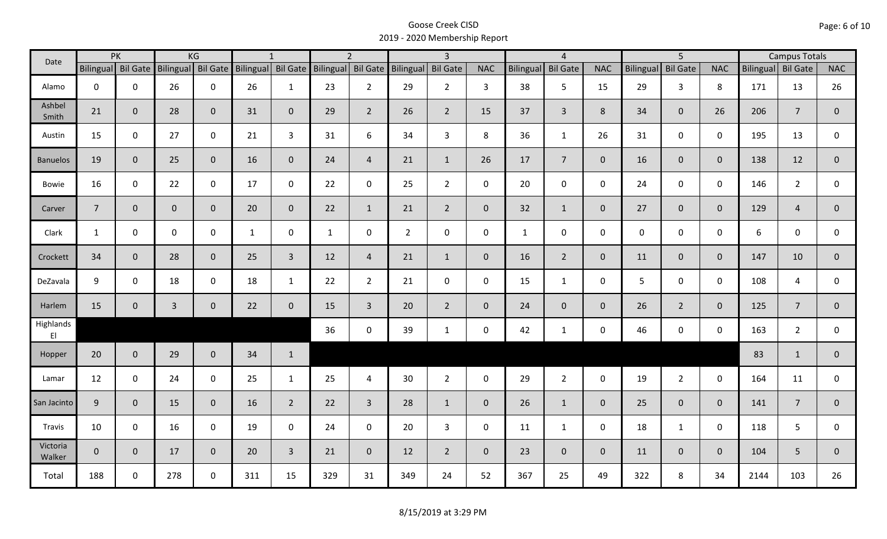| Date                                |                    | PK           |                    | KG           |                    | $\mathbf{1}$   |                    | $\overline{2}$ |                | $\overline{3}$  |              |                  | $\overline{4}$  |                |             | $\overline{5}$  |                |                    | <b>Campus Totals</b> |                |
|-------------------------------------|--------------------|--------------|--------------------|--------------|--------------------|----------------|--------------------|----------------|----------------|-----------------|--------------|------------------|-----------------|----------------|-------------|-----------------|----------------|--------------------|----------------------|----------------|
|                                     | Bilingual Bil Gate |              | Bilingual Bil Gate |              | Bilingual Bil Gate |                | Bilingual Bil Gate |                | Bilingual      | <b>Bil Gate</b> | <b>NAC</b>   | <b>Bilingual</b> | <b>Bil Gate</b> | <b>NAC</b>     | Bilingual   | <b>Bil Gate</b> | <b>NAC</b>     | Bilingual Bil Gate |                      | <b>NAC</b>     |
| Alamo                               | $\mathbf 0$        | $\mathbf 0$  | 26                 | $\mathbf 0$  | 26                 | $\mathbf{1}$   | 23                 | $2^{\circ}$    | 29             | $2^{\circ}$     | 3            | 38               | 5               | 15             | 29          | $\mathbf{3}$    | 8              | 171                | 13                   | 26             |
| Ashbel<br>Smith                     | 21                 | $\mathbf 0$  | 28                 | $\mathbf{0}$ | 31                 | $\mathbf{0}$   | 29                 | $\overline{2}$ | 26             | $\overline{2}$  | 15           | 37               | $\overline{3}$  | 8              | 34          | $\overline{0}$  | 26             | 206                | $\overline{7}$       | $\mathbf{0}$   |
| Austin                              | 15                 | $\mathbf 0$  | 27                 | $\mathbf 0$  | 21                 | $\overline{3}$ | 31                 | 6              | 34             | $\overline{3}$  | 8            | 36               | $\mathbf{1}$    | 26             | 31          | $\mathbf 0$     | $\mathbf 0$    | 195                | 13                   | $\mathbf 0$    |
| <b>Banuelos</b>                     | 19                 | $\mathbf{0}$ | 25                 | $\mathbf 0$  | 16                 | $\mathbf{0}$   | 24                 | $\overline{4}$ | 21             | $\mathbf{1}$    | 26           | 17               | $\overline{7}$  | $\overline{0}$ | 16          | $\overline{0}$  | $\overline{0}$ | 138                | 12                   | $\mathbf{0}$   |
| Bowie                               | 16                 | $\mathbf 0$  | 22                 | $\mathbf 0$  | 17                 | $\mathbf 0$    | 22                 | $\mathbf{0}$   | 25             | $2^{\circ}$     | $\mathsf{O}$ | 20               | $\mathbf 0$     | $\mathsf{O}$   | 24          | $\mathbf 0$     | $\mathbf 0$    | 146                | $\overline{2}$       | 0              |
| Carver                              | $\overline{7}$     | $\mathbf 0$  | $\overline{0}$     | $\mathbf 0$  | 20                 | $\mathbf 0$    | 22                 | $\mathbf{1}$   | 21             | $2^{\circ}$     | $\mathbf{0}$ | 32               | $\mathbf{1}$    | $\overline{0}$ | 27          | $\overline{0}$  | $\overline{0}$ | 129                | $\overline{4}$       | $\overline{0}$ |
| Clark                               | $\mathbf{1}$       | $\mathbf 0$  | $\mathbf 0$        | $\mathbf 0$  | $\mathbf{1}$       | 0              | $\mathbf{1}$       | $\mathbf 0$    | $\overline{2}$ | $\mathbf 0$     | $\mathbf 0$  | $\mathbf{1}$     | $\mathsf 0$     | $\mathsf{O}$   | $\mathbf 0$ | $\mathbf{0}$    | $\mathbf 0$    | 6                  | $\mathbf 0$          | 0              |
| Crockett                            | 34                 | $\mathbf{0}$ | 28                 | $\mathbf 0$  | 25                 | $\overline{3}$ | 12                 | $\overline{4}$ | 21             | $\mathbf{1}$    | $\mathbf{0}$ | 16               | $2^{\circ}$     | $\overline{0}$ | 11          | $\mathbf{0}$    | $\mathbf 0$    | 147                | 10                   | $\overline{0}$ |
| DeZavala                            | 9                  | $\mathbf 0$  | 18                 | $\mathbf 0$  | 18                 | $\mathbf{1}$   | 22                 | $2^{\circ}$    | 21             | $\mathbf 0$     | $\mathbf 0$  | 15               | $\mathbf{1}$    | $\mathbf 0$    | 5           | $\mathbf{0}$    | $\mathbf 0$    | 108                | 4                    | 0              |
| Harlem                              | 15                 | $\mathbf 0$  | $\overline{3}$     | $\mathbf 0$  | 22                 | $\mathbf 0$    | 15                 | $\overline{3}$ | 20             | $\overline{2}$  | $\mathbf 0$  | 24               | $\overline{0}$  | $\overline{0}$ | 26          | $2^{\circ}$     | $\mathbf{0}$   | 125                | $\overline{7}$       | $\overline{0}$ |
| Highlands<br>$\mathsf{E}\mathsf{I}$ |                    |              |                    |              |                    |                | 36                 | $\mathbf 0$    | 39             | $\mathbf{1}$    | $\mathbf 0$  | 42               | $\mathbf{1}$    | $\mathsf{O}$   | 46          | $\mathbf 0$     | $\mathbf 0$    | 163                | $\overline{2}$       | $\mathbf 0$    |
| Hopper                              | 20                 | $\mathbf 0$  | 29                 | $\mathbf 0$  | 34                 | $\mathbf{1}$   |                    |                |                |                 |              |                  |                 |                |             |                 |                | 83                 | $\mathbf{1}$         | $\mathbf{0}$   |
| Lamar                               | 12                 | $\mathbf 0$  | 24                 | $\mathbf 0$  | 25                 | $\mathbf{1}$   | 25                 | $\overline{4}$ | 30             | $2^{\circ}$     | $\mathbf 0$  | 29               | $\overline{2}$  | $\mathbf 0$    | 19          | $2^{\circ}$     | $\mathbf 0$    | 164                | 11                   | $\mathbf 0$    |
| San Jacinto                         | 9                  | $\mathbf 0$  | 15                 | $\mathbf 0$  | 16                 | $\overline{2}$ | 22                 | $\overline{3}$ | 28             | $\mathbf{1}$    | $\mathbf{0}$ | 26               | $\mathbf{1}$    | $\overline{0}$ | 25          | $\overline{0}$  | $\overline{0}$ | 141                | $\overline{7}$       | $\mathbf 0$    |
| Travis                              | 10                 | $\mathbf 0$  | 16                 | $\mathbf 0$  | 19                 | $\mathbf 0$    | 24                 | $\mathbf 0$    | 20             | $\mathbf{3}$    | $\mathbf 0$  | 11               | $\mathbf{1}$    | $\mathbf 0$    | 18          | $\mathbf{1}$    | $\mathbf 0$    | 118                | 5                    | 0              |
| Victoria<br>Walker                  | $\mathbf 0$        | $\mathbf 0$  | 17                 | $\mathbf{0}$ | 20                 | $\overline{3}$ | 21                 | $\overline{0}$ | 12             | $2^{\circ}$     | $\mathbf{0}$ | 23               | $\overline{0}$  | $\overline{0}$ | 11          | $\overline{0}$  | $\overline{0}$ | 104                | 5                    | $\mathbf{0}$   |
| Total                               | 188                | $\mathbf 0$  | 278                | $\mathbf 0$  | 311                | 15             | 329                | 31             | 349            | 24              | 52           | 367              | 25              | 49             | 322         | 8               | 34             | 2144               | 103                  | 26             |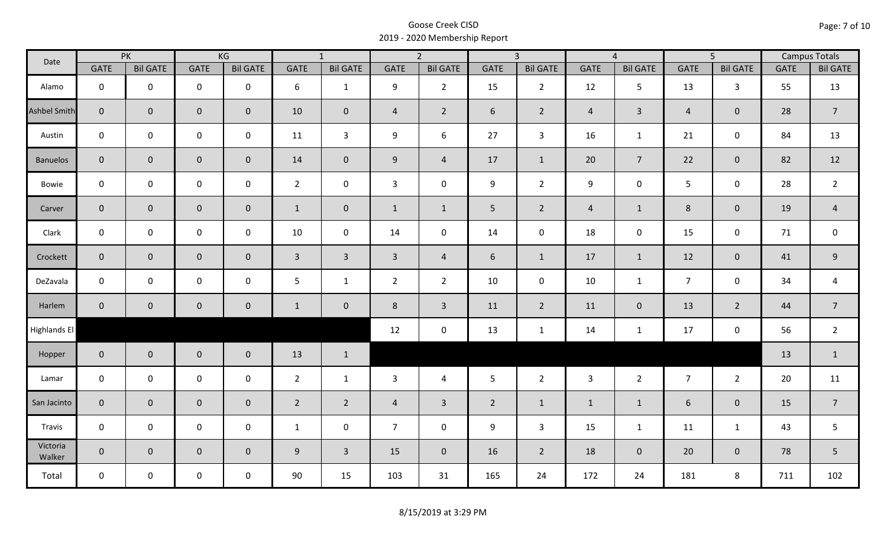| Date               |                | PK              |                     | KG              |                | $\overline{1}$  |                | $\overline{2}$  |                | $\overline{3}$  |                | $\overline{4}$  |                | $\overline{5}$      |             | <b>Campus Totals</b> |
|--------------------|----------------|-----------------|---------------------|-----------------|----------------|-----------------|----------------|-----------------|----------------|-----------------|----------------|-----------------|----------------|---------------------|-------------|----------------------|
|                    | <b>GATE</b>    | <b>Bil GATE</b> | <b>GATE</b>         | <b>Bil GATE</b> | <b>GATE</b>    | <b>Bil GATE</b> | <b>GATE</b>    | <b>Bil GATE</b> | <b>GATE</b>    | <b>Bil GATE</b> | <b>GATE</b>    | <b>Bil GATE</b> | <b>GATE</b>    | <b>Bil GATE</b>     | <b>GATE</b> | <b>Bil GATE</b>      |
| Alamo              | $\mathbf 0$    | $\mathbf 0$     | $\mathbf 0$         | $\mathbf 0$     | 6              | $\mathbf{1}$    | 9              | $\overline{2}$  | 15             | $2^{\circ}$     | 12             | 5               | 13             | $\overline{3}$      | 55          | 13                   |
| Ashbel Smith       | $\mathbf{0}$   | $\overline{0}$  | $\mathbf 0$         | $\mathbf{0}$    | 10             | $\mathbf 0$     | $\overline{4}$ | $\overline{2}$  | 6              | $\overline{2}$  | $\overline{4}$ | $\mathbf{3}$    | $\overline{4}$ | $\mathbf{0}$        | 28          | $\overline{7}$       |
| Austin             | $\mathbf 0$    | $\mathbf 0$     | $\mathsf{O}\xspace$ | $\mathbf 0$     | 11             | $\overline{3}$  | 9              | 6               | 27             | $\mathbf{3}$    | 16             | $\mathbf{1}$    | 21             | $\mathbf 0$         | 84          | 13                   |
| <b>Banuelos</b>    | $\overline{0}$ | $\mathbf 0$     | $\pmb{0}$           | $\mathbf{0}$    | 14             | $\overline{0}$  | 9              | $\overline{4}$  | 17             | $\mathbf{1}$    | 20             | $\overline{7}$  | 22             | $\mathbf{0}$        | 82          | 12                   |
| Bowie              | $\mathbf 0$    | $\mathbf 0$     | $\mathsf{O}\xspace$ | $\mathbf 0$     | $2^{\circ}$    | $\mathbf 0$     | $\mathbf{3}$   | $\mathbf 0$     | 9              | $2^{\circ}$     | 9              | 0               | 5 <sup>1</sup> | $\mathbf 0$         | 28          | $\overline{2}$       |
| Carver             | $\overline{0}$ | $\mathbf 0$     | $\pmb{0}$           | $\mathbf{0}$    | $\mathbf{1}$   | $\mathbf 0$     | $\mathbf{1}$   | $\mathbf{1}$    | 5              | $2^{\circ}$     | $\overline{4}$ | $\mathbf{1}$    | $\,8\,$        | $\mathbf 0$         | 19          | $\overline{4}$       |
| Clark              | $\mathbf 0$    | $\mathbf 0$     | $\mathbf 0$         | 0               | $10\,$         | $\mathbf 0$     | 14             | $\mathbf 0$     | 14             | $\mathbf 0$     | 18             | $\mathsf{O}$    | 15             | $\mathbf 0$         | 71          | $\mathsf 0$          |
| Crockett           | $\overline{0}$ | $\mathbf 0$     | $\mathbf 0$         | $\mathbf{0}$    | $\mathbf{3}$   | $\overline{3}$  | $\overline{3}$ | $\overline{4}$  | 6              | $\mathbf{1}$    | 17             | $\mathbf{1}$    | 12             | $\mathbf 0$         | 41          | $\mathsf 9$          |
| DeZavala           | $\mathbf 0$    | $\mathbf 0$     | $\mathbf 0$         | $\mathbf 0$     | 5              | $\mathbf{1}$    | $\overline{2}$ | $\overline{2}$  | 10             | $\mathbf 0$     | 10             | $\mathbf{1}$    | $\overline{7}$ | $\mathbf 0$         | 34          | $\overline{a}$       |
| Harlem             | $\overline{0}$ | $\mathbf 0$     | $\mathbf 0$         | $\overline{0}$  | $\mathbf{1}$   | $\mathbf 0$     | 8              | $\mathbf{3}$    | 11             | $\overline{2}$  | 11             | $\mathbf{0}$    | 13             | $\overline{2}$      | 44          | $\overline{7}$       |
| Highlands El       |                |                 |                     |                 |                |                 | 12             | $\pmb{0}$       | 13             | $\mathbf{1}$    | 14             | $\mathbf{1}$    | 17             | $\mathsf{O}\xspace$ | 56          | $\overline{2}$       |
| Hopper             | $\overline{0}$ | $\overline{0}$  | $\mathbf 0$         | $\mathbf{0}$    | 13             | $\mathbf{1}$    |                |                 |                |                 |                |                 |                |                     | 13          | $\mathbf{1}$         |
| Lamar              | $\mathbf 0$    | $\mathbf 0$     | $\mathbf 0$         | $\mathbf 0$     | $2^{\circ}$    | $\mathbf{1}$    | $\mathbf{3}$   | $\overline{4}$  | 5 <sup>5</sup> | $2^{\circ}$     | $\overline{3}$ | $2^{\circ}$     | $\overline{7}$ | $2^{\circ}$         | 20          | 11                   |
| San Jacinto        | $\overline{0}$ | $\mathbf{0}$    | $\mathbf 0$         | $\mathbf{0}$    | $\overline{2}$ | $2^{\circ}$     | $\overline{4}$ | $\overline{3}$  | $2^{\circ}$    | $\mathbf{1}$    | $\mathbf{1}$   | $\mathbf{1}$    | 6              | $\mathbf{0}$        | 15          | $\overline{7}$       |
| Travis             | $\mathbf 0$    | $\mathbf 0$     | $\mathbf 0$         | $\mathbf 0$     | $\mathbf{1}$   | $\mathbf 0$     | $\overline{7}$ | $\mathbf 0$     | 9              | $\mathbf{3}$    | 15             | $\mathbf{1}$    | 11             | $\mathbf{1}$        | 43          | 5                    |
| Victoria<br>Walker | $\overline{0}$ | $\mathbf 0$     | $\mathsf{O}\xspace$ | $\mathbf 0$     | 9              | $\overline{3}$  | 15             | $\mathbf{0}$    | 16             | $2^{\circ}$     | 18             | $\mathbf 0$     | 20             | $\mathbf{0}$        | 78          | 5                    |
| Total              | $\mathbf 0$    | $\mathbf 0$     | $\mathbf 0$         | $\mathbf 0$     | 90             | 15              | 103            | 31              | 165            | 24              | 172            | 24              | 181            | 8                   | 711         | 102                  |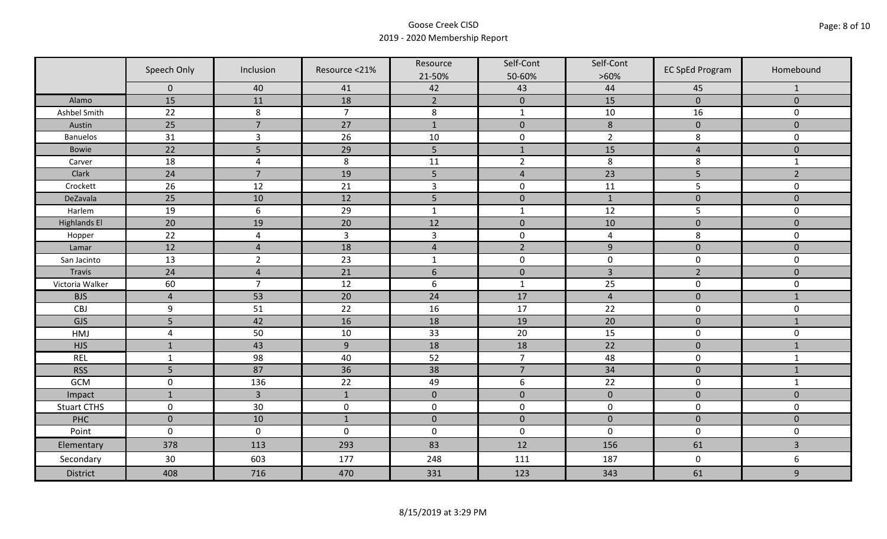|                     | Speech Only    | Inclusion      | Resource <21%  | Resource<br>21-50% | Self-Cont<br>50-60% | Self-Cont<br>$>60\%$ | <b>EC SpEd Program</b> | Homebound      |
|---------------------|----------------|----------------|----------------|--------------------|---------------------|----------------------|------------------------|----------------|
|                     | $\mathbf 0$    | 40             | 41             | 42                 | 43                  | 44                   | 45                     | $\mathbf{1}$   |
| Alamo               | 15             | 11             | 18             | $\overline{2}$     | $\pmb{0}$           | 15                   | $\pmb{0}$              | $\mathbf 0$    |
| Ashbel Smith        | 22             | $\,8\,$        | $\overline{7}$ | $\,8\,$            | $\mathbf{1}$        | $10\,$               | 16                     | 0              |
| Austin              | 25             | $\overline{7}$ | 27             | $\mathbf{1}$       | $\pmb{0}$           | $\,8\,$              | $\pmb{0}$              | $\overline{0}$ |
| <b>Banuelos</b>     | 31             | $\overline{3}$ | 26             | 10                 | $\pmb{0}$           | $\overline{2}$       | 8                      | $\mathbf 0$    |
| <b>Bowie</b>        | 22             | 5              | 29             | 5                  | $1\,$               | 15                   | $\overline{4}$         | $\pmb{0}$      |
| Carver              | 18             | $\overline{4}$ | 8              | 11                 | $\overline{2}$      | 8                    | 8                      | $\mathbf{1}$   |
| Clark               | 24             | $\overline{7}$ | 19             | 5                  | $\sqrt{4}$          | 23                   | 5                      | $\overline{2}$ |
| Crockett            | 26             | 12             | 21             | $\overline{3}$     | $\pmb{0}$           | 11                   | 5                      | 0              |
| DeZavala            | 25             | 10             | 12             | 5                  | $\pmb{0}$           | $\mathbf{1}$         | $\pmb{0}$              | $\overline{0}$ |
| Harlem              | 19             | $6\,$          | 29             | $\mathbf 1$        | $\mathbf 1$         | 12                   | 5                      | 0              |
| <b>Highlands El</b> | 20             | 19             | 20             | 12                 | $\pmb{0}$           | 10                   | $\pmb{0}$              | $\overline{0}$ |
| Hopper              | 22             | $\overline{4}$ | $\overline{3}$ | $\mathsf{3}$       | $\pmb{0}$           | $\pmb{4}$            | 8                      | 0              |
| Lamar               | 12             | $\overline{4}$ | 18             | $\sqrt{4}$         | $\overline{2}$      | $\overline{9}$       | $\pmb{0}$              | $\mathbf 0$    |
| San Jacinto         | 13             | $\overline{2}$ | 23             | $\mathbf{1}$       | $\pmb{0}$           | $\pmb{0}$            | $\pmb{0}$              | 0              |
| Travis              | 24             | $\overline{4}$ | 21             | $6\,$              | $\pmb{0}$           | $\overline{3}$       | $\overline{2}$         | $\pmb{0}$      |
| Victoria Walker     | 60             | $\overline{7}$ | 12             | $\boldsymbol{6}$   | $\mathbf 1$         | 25                   | $\pmb{0}$              | 0              |
| <b>BJS</b>          | $\overline{4}$ | 53             | 20             | 24                 | 17                  | $\overline{4}$       | $\pmb{0}$              | $\mathbf{1}$   |
| CBJ                 | 9              | 51             | 22             | 16                 | 17                  | 22                   | $\pmb{0}$              | 0              |
| GJS                 | 5              | 42             | 16             | 18                 | 19                  | 20                   | $\mathbf 0$            | $\mathbf{1}$   |
| HMJ                 | $\overline{4}$ | 50             | 10             | 33                 | 20                  | 15                   | $\pmb{0}$              | 0              |
| <b>HJS</b>          | $\mathbf{1}$   | 43             | 9              | 18                 | 18                  | 22                   | $\pmb{0}$              | $1\,$          |
| <b>REL</b>          | $\mathbf{1}$   | 98             | 40             | 52                 | $\overline{7}$      | 48                   | $\pmb{0}$              | $\mathbf{1}$   |
| <b>RSS</b>          | 5              | 87             | 36             | 38                 | $\overline{7}$      | 34                   | $\pmb{0}$              | $\mathbf{1}$   |
| GCM                 | $\mathsf 0$    | 136            | 22             | 49                 | $\boldsymbol{6}$    | 22                   | $\pmb{0}$              | $\mathbf{1}$   |
| Impact              | $\mathbf{1}$   | $\overline{3}$ | $\mathbf{1}$   | $\mathbf 0$        | $\mathbf 0$         | $\pmb{0}$            | $\mathbf 0$            | $\overline{0}$ |
| <b>Stuart CTHS</b>  | $\mathsf 0$    | 30             | $\pmb{0}$      | $\pmb{0}$          | $\pmb{0}$           | $\pmb{0}$            | $\pmb{0}$              | 0              |
| PHC                 | $\mathbf 0$    | 10             | $1\,$          | $\pmb{0}$          | $\pmb{0}$           | $\pmb{0}$            | $\pmb{0}$              | $\pmb{0}$      |
| Point               | $\mathbf 0$    | $\mathbf 0$    | $\mathbf 0$    | $\boldsymbol{0}$   | $\pmb{0}$           | $\mathbf 0$          | $\pmb{0}$              | 0              |
| Elementary          | 378            | 113            | 293            | 83                 | 12                  | 156                  | 61                     | $\overline{3}$ |
| Secondary           | 30             | 603            | 177            | 248                | 111                 | 187                  | $\mathbf 0$            | 6              |
| <b>District</b>     | 408            | 716            | 470            | 331                | 123                 | 343                  | 61                     | 9              |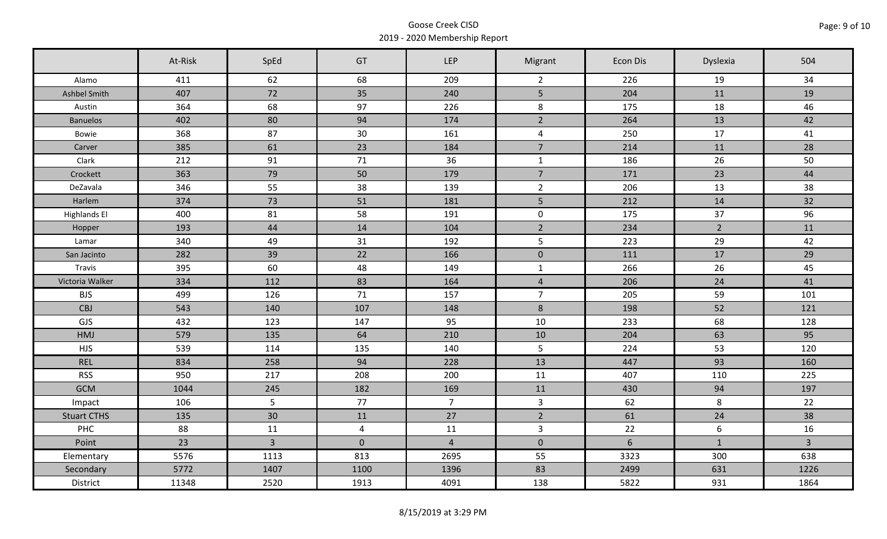|                     | At-Risk | SpEd           | GT             | <b>LEP</b>     | Migrant        | Econ Dis | Dyslexia         | 504            |
|---------------------|---------|----------------|----------------|----------------|----------------|----------|------------------|----------------|
| Alamo               | 411     | 62             | 68             | 209            | $\overline{2}$ | 226      | 19               | 34             |
| Ashbel Smith        | 407     | 72             | 35             | 240            | 5 <sup>1</sup> | 204      | 11               | 19             |
| Austin              | 364     | 68             | 97             | 226            | 8              | 175      | 18               | 46             |
| <b>Banuelos</b>     | 402     | 80             | 94             | 174            | $2^{\circ}$    | 264      | 13               | 42             |
| Bowie               | 368     | 87             | 30             | 161            | $\overline{4}$ | 250      | 17               | 41             |
| Carver              | 385     | 61             | 23             | 184            | $\overline{7}$ | 214      | 11               | 28             |
| Clark               | 212     | 91             | 71             | 36             | $\mathbf{1}$   | 186      | 26               | 50             |
| Crockett            | 363     | 79             | 50             | 179            | $\overline{7}$ | 171      | 23               | 44             |
| DeZavala            | 346     | 55             | 38             | 139            | $\overline{2}$ | 206      | 13               | 38             |
| Harlem              | 374     | 73             | 51             | 181            | 5 <sub>1</sub> | 212      | 14               | 32             |
| <b>Highlands El</b> | 400     | 81             | 58             | 191            | $\mathbf 0$    | 175      | 37               | 96             |
| Hopper              | 193     | 44             | 14             | 104            | $\overline{2}$ | 234      | $2^{\circ}$      | 11             |
| Lamar               | 340     | 49             | 31             | 192            | 5              | 223      | 29               | 42             |
| San Jacinto         | 282     | 39             | 22             | 166            | $\mathbf 0$    | 111      | 17               | 29             |
| Travis              | 395     | 60             | 48             | 149            | $\mathbf{1}$   | 266      | 26               | 45             |
| Victoria Walker     | 334     | 112            | 83             | 164            | $\overline{4}$ | 206      | 24               | 41             |
| <b>BJS</b>          | 499     | 126            | 71             | 157            | $\overline{7}$ | 205      | 59               | 101            |
| CBJ                 | 543     | 140            | 107            | 148            | 8              | 198      | 52               | 121            |
| GJS                 | 432     | 123            | 147            | 95             | 10             | 233      | 68               | 128            |
| HMJ                 | 579     | 135            | 64             | 210            | 10             | 204      | 63               | 95             |
| <b>HJS</b>          | 539     | 114            | 135            | 140            | 5              | 224      | 53               | 120            |
| <b>REL</b>          | 834     | 258            | 94             | 228            | 13             | 447      | 93               | 160            |
| <b>RSS</b>          | 950     | 217            | 208            | 200            | 11             | 407      | 110              | 225            |
| <b>GCM</b>          | 1044    | 245            | 182            | 169            | 11             | 430      | 94               | 197            |
| Impact              | 106     | 5              | 77             | 7 <sup>7</sup> | $\mathbf{3}$   | 62       | 8                | 22             |
| <b>Stuart CTHS</b>  | 135     | 30             | 11             | 27             | $\overline{2}$ | 61       | 24               | 38             |
| PHC                 | 88      | 11             | $\overline{4}$ | 11             | $\mathbf{3}$   | 22       | $\boldsymbol{6}$ | 16             |
| Point               | 23      | $\overline{3}$ | $\mathbf 0$    | $\overline{4}$ | $\mathbf 0$    | 6        | $\mathbf{1}$     | $\overline{3}$ |
| Elementary          | 5576    | 1113           | 813            | 2695           | 55             | 3323     | 300              | 638            |
| Secondary           | 5772    | 1407           | 1100           | 1396           | 83             | 2499     | 631              | 1226           |
| District            | 11348   | 2520           | 1913           | 4091           | 138            | 5822     | 931              | 1864           |